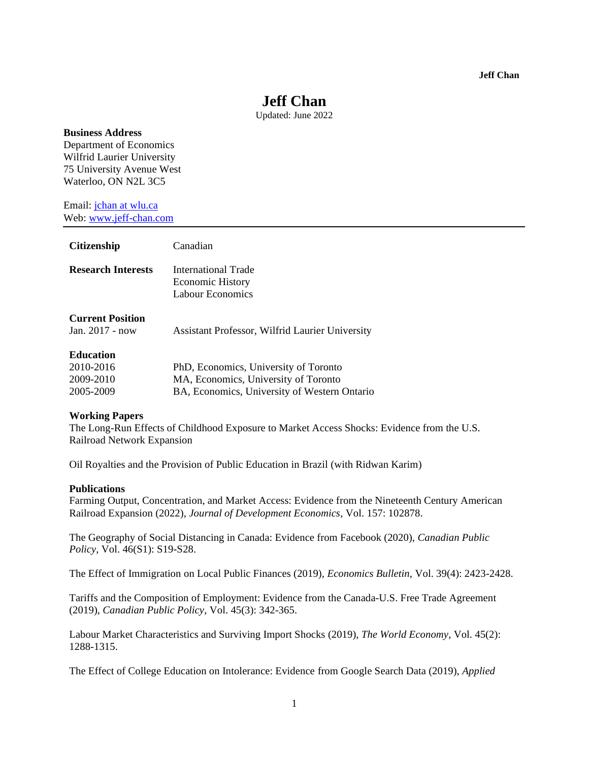# **Jeff Chan**

Updated: June 2022

## **Business Address**

Department of Economics Wilfrid Laurier University 75 University Avenue West Waterloo, ON N2L 3C5

Email: jchan at wlu.ca Web: www.jeff-chan.com

| <b>Citizenship</b>                                      | Canadian                                                                                                                      |
|---------------------------------------------------------|-------------------------------------------------------------------------------------------------------------------------------|
| <b>Research Interests</b>                               | <b>International Trade</b><br><b>Economic History</b><br>Labour Economics                                                     |
| <b>Current Position</b><br>Jan. 2017 - now              | <b>Assistant Professor, Wilfrid Laurier University</b>                                                                        |
| <b>Education</b><br>2010-2016<br>2009-2010<br>2005-2009 | PhD, Economics, University of Toronto<br>MA, Economics, University of Toronto<br>BA, Economics, University of Western Ontario |

#### **Working Papers**

The Long-Run Effects of Childhood Exposure to Market Access Shocks: Evidence from the U.S. Railroad Network Expansion

Oil Royalties and the Provision of Public Education in Brazil (with Ridwan Karim)

#### **Publications**

Farming Output, Concentration, and Market Access: Evidence from the Nineteenth Century American Railroad Expansion (2022), *Journal of Development Economics*, Vol. 157: 102878.

The Geography of Social Distancing in Canada: Evidence from Facebook (2020), *Canadian Public Policy*, Vol. 46(S1): S19-S28.

The Effect of Immigration on Local Public Finances (2019), *Economics Bulletin*, Vol. 39(4): 2423-2428.

Tariffs and the Composition of Employment: Evidence from the Canada-U.S. Free Trade Agreement (2019), *Canadian Public Policy*, Vol. 45(3): 342-365.

Labour Market Characteristics and Surviving Import Shocks (2019), *The World Economy*, Vol. 45(2): 1288-1315.

The Effect of College Education on Intolerance: Evidence from Google Search Data (2019), *Applied*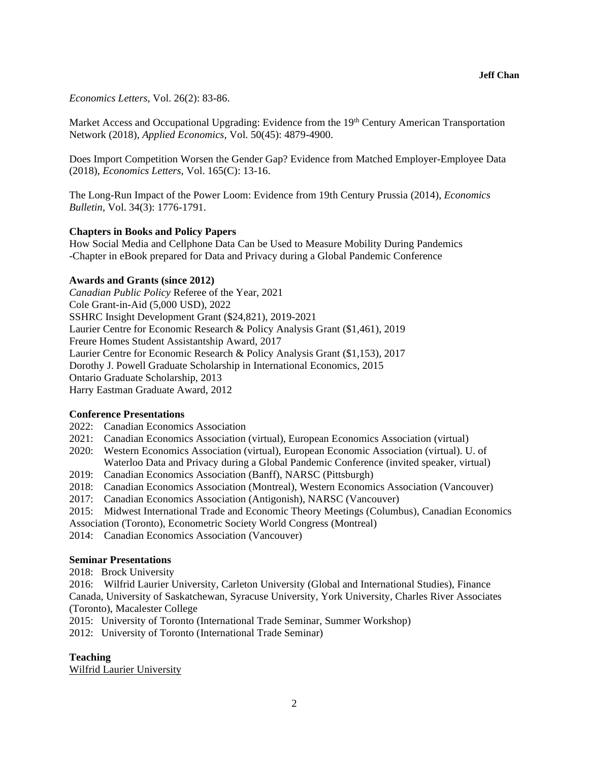*Economics Letters*, Vol. 26(2): 83-86.

Market Access and Occupational Upgrading: Evidence from the 19<sup>th</sup> Century American Transportation Network (2018), *Applied Economics*, Vol. 50(45): 4879-4900.

Does Import Competition Worsen the Gender Gap? Evidence from Matched Employer-Employee Data (2018), *Economics Letters*, Vol. 165(C): 13-16.

The Long-Run Impact of the Power Loom: Evidence from 19th Century Prussia (2014), *Economics Bulletin*, Vol. 34(3): 1776-1791.

#### **Chapters in Books and Policy Papers**

How Social Media and Cellphone Data Can be Used to Measure Mobility During Pandemics -Chapter in eBook prepared for Data and Privacy during a Global Pandemic Conference

# **Awards and Grants (since 2012)**

*Canadian Public Policy* Referee of the Year, 2021 Cole Grant-in-Aid (5,000 USD), 2022 SSHRC Insight Development Grant (\$24,821), 2019-2021 Laurier Centre for Economic Research & Policy Analysis Grant (\$1,461), 2019 Freure Homes Student Assistantship Award, 2017 Laurier Centre for Economic Research & Policy Analysis Grant (\$1,153), 2017 Dorothy J. Powell Graduate Scholarship in International Economics, 2015 Ontario Graduate Scholarship, 2013 Harry Eastman Graduate Award, 2012

#### **Conference Presentations**

- 2022: Canadian Economics Association
- 2021: Canadian Economics Association (virtual), European Economics Association (virtual)
- 2020: Western Economics Association (virtual), European Economic Association (virtual). U. of Waterloo Data and Privacy during a Global Pandemic Conference (invited speaker, virtual)
- 2019: Canadian Economics Association (Banff), NARSC (Pittsburgh)
- 2018: Canadian Economics Association (Montreal), Western Economics Association (Vancouver)
- 2017: Canadian Economics Association (Antigonish), NARSC (Vancouver)
- 2015: Midwest International Trade and Economic Theory Meetings (Columbus), Canadian Economics
- Association (Toronto), Econometric Society World Congress (Montreal)
- 2014: Canadian Economics Association (Vancouver)

## **Seminar Presentations**

2018: Brock University

2016: Wilfrid Laurier University, Carleton University (Global and International Studies), Finance Canada, University of Saskatchewan, Syracuse University, York University, Charles River Associates (Toronto), Macalester College

2015: University of Toronto (International Trade Seminar, Summer Workshop)

2012: University of Toronto (International Trade Seminar)

# **Teaching**

Wilfrid Laurier University